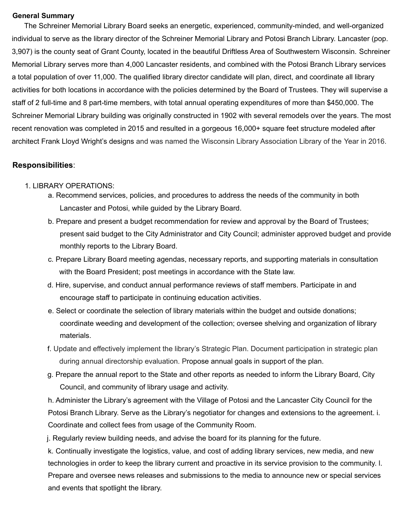#### **General Summary**

The Schreiner Memorial Library Board seeks an energetic, experienced, community-minded, and well-organized individual to serve as the library director of the Schreiner Memorial Library and Potosi Branch Library. Lancaster (pop. 3,907) is the county seat of Grant County, located in the beautiful Driftless Area of Southwestern Wisconsin. Schreiner Memorial Library serves more than 4,000 Lancaster residents, and combined with the Potosi Branch Library services a total population of over 11,000. The qualified library director candidate will plan, direct, and coordinate all library activities for both locations in accordance with the policies determined by the Board of Trustees. They will supervise a staff of 2 full-time and 8 part-time members, with total annual operating expenditures of more than \$450,000. The Schreiner Memorial Library building was originally constructed in 1902 with several remodels over the years. The most recent renovation was completed in 2015 and resulted in a gorgeous 16,000+ square feet structure modeled after architect Frank Lloyd Wright's designs and was named the Wisconsin Library Association Library of the Year in 2016.

#### **Responsibilities**:

#### 1. LIBRARY OPERATIONS:

- a. Recommend services, policies, and procedures to address the needs of the community in both Lancaster and Potosi, while guided by the Library Board.
- b. Prepare and present a budget recommendation for review and approval by the Board of Trustees; present said budget to the City Administrator and City Council; administer approved budget and provide monthly reports to the Library Board.
- c. Prepare Library Board meeting agendas, necessary reports, and supporting materials in consultation with the Board President; post meetings in accordance with the State law.
- d. Hire, supervise, and conduct annual performance reviews of staff members. Participate in and encourage staff to participate in continuing education activities.
- e. Select or coordinate the selection of library materials within the budget and outside donations; coordinate weeding and development of the collection; oversee shelving and organization of library materials.
- f. Update and effectively implement the library's Strategic Plan. Document participation in strategic plan during annual directorship evaluation. Propose annual goals in support of the plan.
- g. Prepare the annual report to the State and other reports as needed to inform the Library Board, City Council, and community of library usage and activity.

h. Administer the Library's agreement with the Village of Potosi and the Lancaster City Council for the Potosi Branch Library. Serve as the Library's negotiator for changes and extensions to the agreement. i. Coordinate and collect fees from usage of the Community Room.

j. Regularly review building needs, and advise the board for its planning for the future.

k. Continually investigate the logistics, value, and cost of adding library services, new media, and new technologies in order to keep the library current and proactive in its service provision to the community. l. Prepare and oversee news releases and submissions to the media to announce new or special services and events that spotlight the library.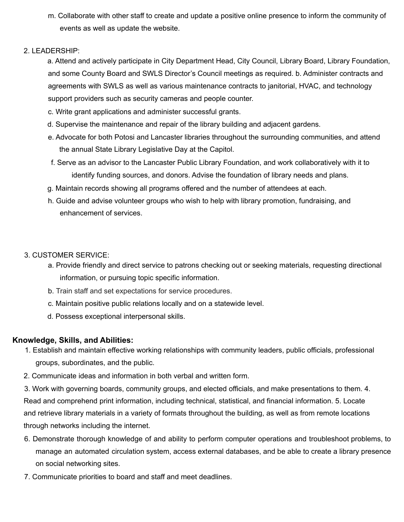m. Collaborate with other staff to create and update a positive online presence to inform the community of events as well as update the website.

### 2. LEADERSHIP:

a. Attend and actively participate in City Department Head, City Council, Library Board, Library Foundation, and some County Board and SWLS Director's Council meetings as required. b. Administer contracts and agreements with SWLS as well as various maintenance contracts to janitorial, HVAC, and technology support providers such as security cameras and people counter.

- c. Write grant applications and administer successful grants.
- d. Supervise the maintenance and repair of the library building and adjacent gardens.
- e. Advocate for both Potosi and Lancaster libraries throughout the surrounding communities, and attend the annual State Library Legislative Day at the Capitol.
- f. Serve as an advisor to the Lancaster Public Library Foundation, and work collaboratively with it to identify funding sources, and donors. Advise the foundation of library needs and plans.
- g. Maintain records showing all programs offered and the number of attendees at each.
- h. Guide and advise volunteer groups who wish to help with library promotion, fundraising, and enhancement of services.

### 3. CUSTOMER SERVICE:

- a. Provide friendly and direct service to patrons checking out or seeking materials, requesting directional information, or pursuing topic specific information.
- b. Train staff and set expectations for service procedures.
- c. Maintain positive public relations locally and on a statewide level.
- d. Possess exceptional interpersonal skills.

# **Knowledge, Skills, and Abilities:**

- 1. Establish and maintain effective working relationships with community leaders, public officials, professional groups, subordinates, and the public.
- 2. Communicate ideas and information in both verbal and written form.
- 3. Work with governing boards, community groups, and elected officials, and make presentations to them. 4. Read and comprehend print information, including technical, statistical, and financial information. 5. Locate and retrieve library materials in a variety of formats throughout the building, as well as from remote locations through networks including the internet.
- 6. Demonstrate thorough knowledge of and ability to perform computer operations and troubleshoot problems, to manage an automated circulation system, access external databases, and be able to create a library presence on social networking sites.
- 7. Communicate priorities to board and staff and meet deadlines.